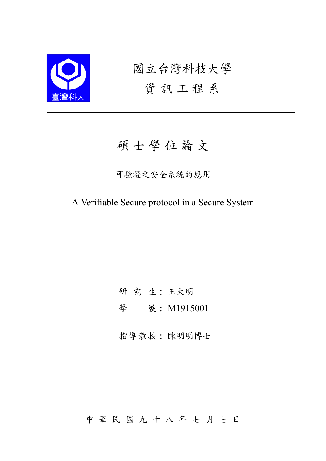

國立台灣科技大學 資訊工程系

# 碩 士 學 位 論 文

#### 可驗證之安全系統的應用

A Verifiable Secure protocol in a Secure System

研 究 生: 王大明

學 號: M1915001

指導教授: 陳明明博士

中 華 民 國 九 十 八 年 七 月 七 日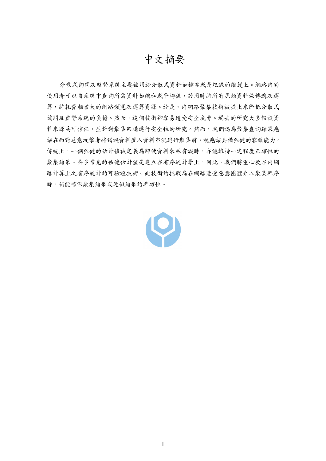## 中文摘要

分散式詢問及監督系統主要被用於分散式資料如檔案或是紀錄的維護上。網路內的 使用者可以自系統中查詢所需資料如總和或平均值,若同時將所有原始資料做傳遞及運 算,將耗費相當大的網路頻寬及運算資源。於是,内網路聚集技術被提出來降低分散式 詢問及監督系統的負擔。然而,這個技術卻容易遭受安全威脅。過去的研究大多假設資 料來源為可信任,並針對聚集架構進行安全性的研究。然而,我們認為聚集查詢結果應 該在面對惡意攻擊者將錯誤資料置入資料串流進行聚集前,就應該具備強健的容錯能力。 傳統上,一個強健的估計值被定義為即使資料來源有誤時,亦能維持一定程度正確性的 聚集結果。許多常見的強健估計值是建立在有序統計學上,因此,我們將重心放在內網 路計算上之有序統計的可驗證技術。此技術的挑戰為在網路遭受惡意團體介入聚集程序 時,仍能確保聚集結果或近似結果的準確性。

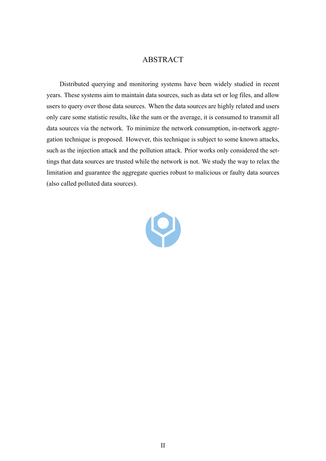#### ABSTRACT

Distributed querying and monitoring systems have been widely studied in recent years. These systems aim to maintain data sources, such as data set or log files, and allow users to query over those data sources. When the data sources are highly related and users only care some statistic results, like the sum or the average, it is consumed to transmit all data sources via the network. To minimize the network consumption, in-network aggregation technique is proposed. However, this technique is subject to some known attacks, such as the injection attack and the pollution attack. Prior works only considered the settings that data sources are trusted while the network is not. We study the way to relax the limitation and guarantee the aggregate queries robust to malicious or faulty data sources (also called polluted data sources).

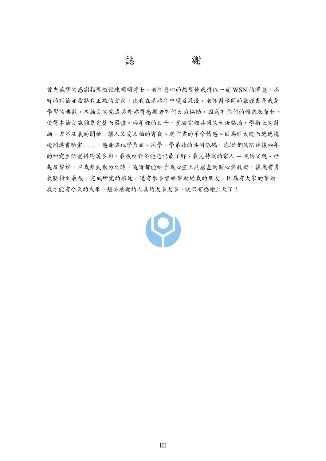#### 誌 謝

首先誠摯的感謝指導教授陳明明博士,老師悉心的教導使我得以一窺 WSN 的深奥,不 時的討論並指點我正確的方向,使我在這些年中獲益匪淺。老師對學問的嚴謹更是我輩 學習的典範。本論文的完成另外亦得感謝老師們大力協助。因為有你們的體諒及幫忙, 使得本論文能夠更完整而嚴謹。兩年裡的日子,實驗室裡共同的生活點滴,學術上的討 論、言不及義的閒扯、讓人又愛又怕的宵夜、趕作業的革命情感、因為睡太晚而遮遮掩 掩閃進實驗室........,感謝眾位學長姐、同學、學弟妹的共同砥礪,你/妳們的陪伴讓兩年 的研究生活變得絢麗多彩。最後絕對不能忘記最了解、最支持我的家人 ─ 我的父親、母 親及姊姊,在我喪失動力之時,隨時都能給予我心靈上無窮盡的關心與鼓勵,讓我有勇 氣堅持到最後,完成研究的旅途。還有很多曾經幫助過我的朋友,因為有大家的幫助, 我才能有今天的成果。想要感謝的人真的太多太多,就只有感謝上天了!

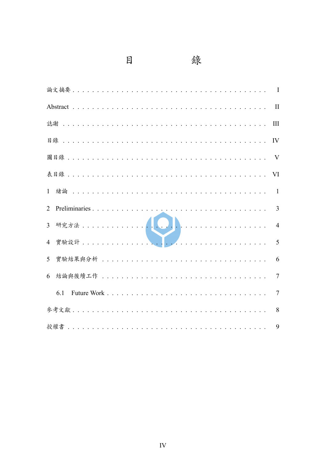$\Box$ 



|                | $\mathbf{I}$   |
|----------------|----------------|
|                | III            |
|                | IV             |
|                |                |
|                | VI             |
| $\mathbf{1}$   | $\mathbf{1}$   |
| $\overline{2}$ | $\overline{3}$ |
| $\overline{3}$ | $\overline{4}$ |
| $\overline{4}$ | 5              |
| 5              | 6              |
| 6              | $\overline{7}$ |
| 6.1            | $\overline{7}$ |
|                | 8              |
|                | 9              |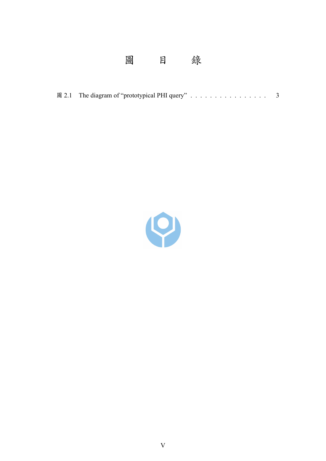#### 圖  $\Box$ 錄

|  | 圖 2.1 The diagram of "prototypical PHI query" |  |  |  |  |  |  |  |
|--|-----------------------------------------------|--|--|--|--|--|--|--|

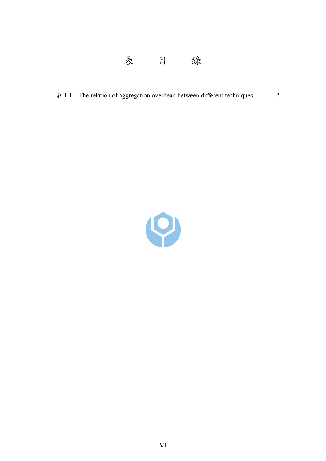

表 1.1 The relation of aggregation overhead between different techniques . . 2

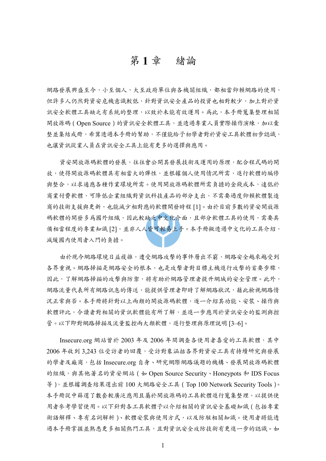### 第 **1** 章 緒論

網路發展興盛至今,小至個人,大至政府單位與各機關組織,都相當仰賴網路的使用, 但許多人仍然對資安危機意識較低,針對資訊安全產品的投資也相對較少,加上對於資 訊安全軟體工具缺乏有系統的整理,以致於未能有效運用。為此,本手冊蒐集整理相關 開放源碼(Open Source)的資訊安全軟體工具,並透過專業人員實際操作演練,加以彙 整並集結成冊,希冀透過本手冊的幫助,不僅能給予初學者對於資安工具軟體初步認識, 也讓資訊從業人員在資訊安全工具上能有更多的選擇與應用。

資安開放源碼軟體的發展,往往會公開其發展技術及運用的原理,配合程式碼的開 放,使得開放源碼軟體具有相當大的彈性,並根據個人使用情況所需,進行軟體的編修 與整合,以求適應各種作業環境所需。使用開放源碼軟體所需負擔的金錢成本,遠低於 商業付費軟體,可降低企業組織對資訊科技產品的部分支出,不需要過度仰賴軟體製造 商的技術支援與更新,也能減少相對應的軟體開發時程 [1]。由於目前多數的資安開放源 碼軟體的開發多為國外組織,因此較缺乏中文化介面,且部分軟體工具的使用,需要具 備相當程度的專業知識 [2],並非人人皆可輕易上手。本手冊擬透過中文化的工具介紹, 減緩國內使用者入門的負擔。

由於現今網路環境日益複雜,遭受網路攻擊的事件層出不窮,網路安全越來越受到 各界重視。網路掃描是網路安全的根本,也是攻擊者對目標主機進行攻擊的首要步驟, 因此,了解網路掃描的攻擊與防禦,將有助於網路管理者提升網域的安全管理。此外, 網路流量代表所有網路訊息的傳送,能提供管理者即時了解網路狀況,藉此檢視網路情 況正常與否。本手冊將針對以上兩類的開放源碼軟體,逐一介紹其功能、安裝、操作與 軟體評比,令讀者對相關的資訊軟體能有所了解,並進一步應用於資訊安全的監測與控 管。以下即對網路掃描及流量監控兩大類軟體,進行整理與原理說明 [3-6]。

Insecure.org 網站曾於 2003年及 2006 年間調查各使用者喜愛的工具軟體,其中 2006 年收到 3,243 位受訪者的回覆,受訪對象涵括各界對資安工具有持續研究與發展 的學者及廠商,包括 Insecure.org 自身、研究網際網路議題的機構、發展開放源碼軟體 的組織,與其他著名的資安網站 (如 Open Source Security、Honeypots 和 IDS Focus 等),並根據調查結果選出前 100 大網路安全工具(Top 100 Network Security Tools)。 本手冊從中篩選了數套較廣泛應用且屬於開放源碼的工具軟體進行蒐集整理,以提供使 用者參考學習使用。以下針對各工具軟體予以介紹相關的資訊安全基礎知識(包括專業 術語解釋、專有名詞解析)、軟體安裝與使用方式,以及防駭相關知識。使用者將能透 過本手冊掌握並熟悉更多相關熱門工具,且對資訊安全攻防技術有更進一步的認識。如

1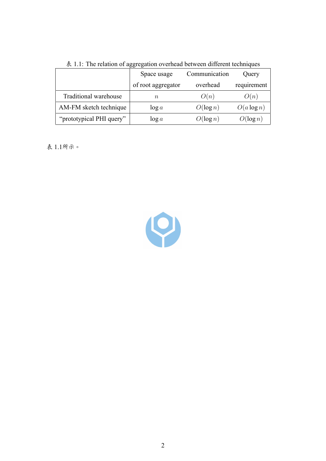|                          | Space usage        | Communication | Query         |  |  |  |  |  |  |
|--------------------------|--------------------|---------------|---------------|--|--|--|--|--|--|
|                          | of root aggregator | overhead      | requirement   |  |  |  |  |  |  |
| Traditional warehouse    | $\, n$             | O(n)          | O(n)          |  |  |  |  |  |  |
| AM-FM sketch technique   | $\log a$           | $O(\log n)$   | $O(a \log n)$ |  |  |  |  |  |  |
| "prototypical PHI query" | $\log a$           | $O(\log n)$   | $O(\log n)$   |  |  |  |  |  |  |

表 1.1: The relation of aggregation overhead between different techniques

表 1.1所示。

9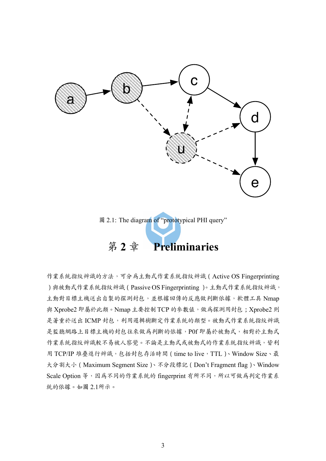

圖 2.1: The diagram of "prototypical PHI query"

# 第 **2** 章 **Preliminaries**

作業系統指紋辨識的方法,可分為主動式作業系統指紋辨識(Active OS Fingerprinting )與被動式作業系統指紋辨識 (Passive OS Fingerprinting )。主動式作業系統指紋辨識, 主動對目標主機送出自製的探測封包,並根據回傳的反應做判斷依據,軟體工具 Nmap 與 Xprobe2 即屬於此類。Nmap 主要控制 TCP 的參數值,做為探測用封包; Xprobe2 則 是著重於送出 ICMP 封包,利用邏輯樹斷定作業系統的類型。被動式作業系統指紋辨識 是監聽網路上目標主機的封包往來做為判斷的依據,P0f 即屬於被動式,相對於主動式 作業系統指紋辨識較不易被人察覺。不論是主動式或被動式的作業系統指紋辨識,皆利 用 TCP/IP 堆疊進行辨識,包括封包存活時間 (time to live, TTL)、Window Size、最 大分割大小(Maximum Segment Size)、不分段標記(Don't Fragment flag)、Window Scale Option 等,因為不同的作業系統的 fingerprint 有所不同,所以可做為判定作業系 統的依據。如圖 2.1所示。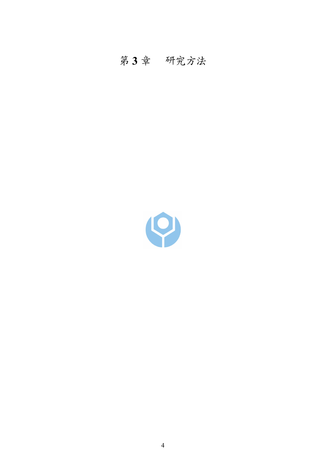# 第 **3** 章 研究方法

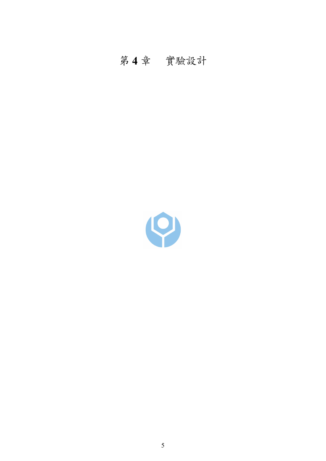# 第 **4** 章 實驗設計

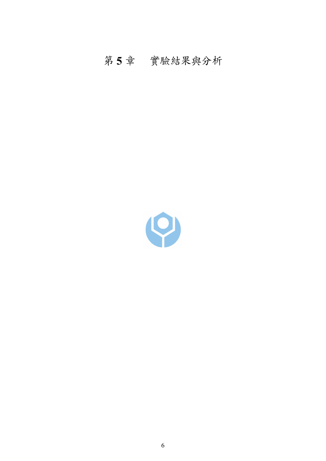# 第 **5** 章 實驗結果與分析

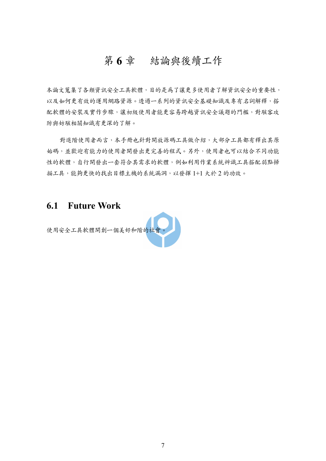## 第 **6** 章 結論與後續工作

本論文蒐集了各類資訊安全工具軟體,目的是為了讓更多使用者了解資訊安全的重要性, 以及如何更有效的運用網路資源。透過一系列的資訊安全基礎知識及專有名詞解釋,搭 配軟體的安裝及實作步驟,讓初級使用者能更容易跨越資訊安全議題的門檻,對駭客攻 防與妨駭相關知識有更深的了解。

對進階使用者而言,本手冊也針對開放源碼工具做介紹,大部分工具都有釋出其原 始碼,並歡迎有能力的使用者開發出更完善的程式。另外,使用者也可以結合不同功能 性的軟體,自行開發出一套符合其需求的軟體,例如利用作業系統辨識工具搭配弱點掃 描工具,能夠更快的找出目標主機的系統漏洞,以發揮 1+1 大於 2 的功效。

#### **6.1 Future Work**

使用安全工具軟體開創一個美好和階的社